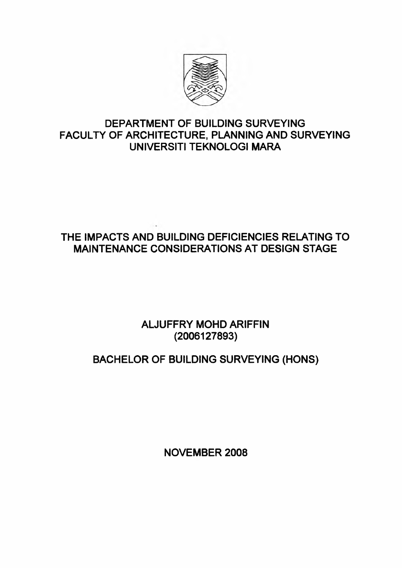

# **DEPARTMENT OF BUILDING SURVEYING FACULTY OF ARCHITECTURE, PLANNING AND SURVEYING UNIVERSITI TEKNOLOGI MARA**

# **THE IMPACTS AND BUILDING DEFICIENCIES RELATING TO MAINTENANCE CONSIDERATIONS AT DESIGN STAGE**

**ALJUFFRY MOHD ARIFFIN (2006127893)**

# **BACHELOR OF BUILDING SURVEYING (HONS)**

**NOVEMBER 2008**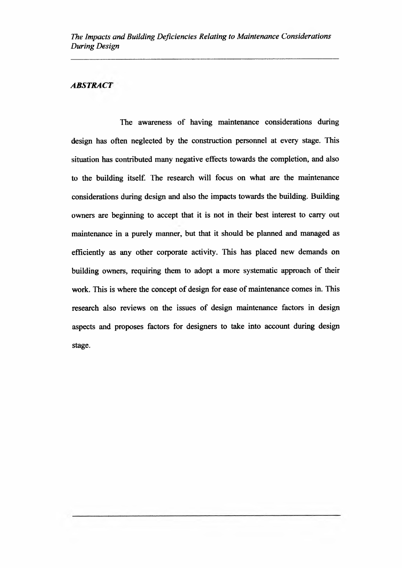#### *ABSTRACT*

The awareness of having maintenance considerations during design has often neglected by the construction personnel at every stage. This situation has contributed many negative effects towards the completion, and also to the building itself. The research will focus on what are the maintenance considerations during design and also the impacts towards the building. Building owners are beginning to accept that it is not in their best interest to carry out maintenance in a purely manner, but that it should be planned and managed as efficiently as any other corporate activity. This has placed new demands on building owners, requiring them to adopt a more systematic approach of their work. This is where the concept of design for ease of maintenance comes in. This research also reviews on the issues of design maintenance factors in design aspects and proposes factors for designers to take into account during design stage.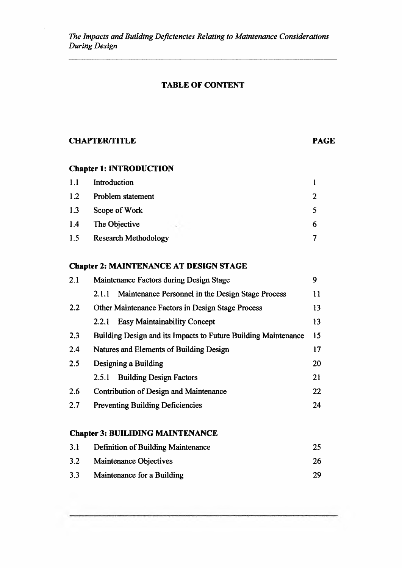#### **TABLE OF CONTENT**

### **CHAPTER/TITLE PAGE**

# **Chapter 1: INTRODUCTION**

| 1.1 | Introduction                |  |
|-----|-----------------------------|--|
| 1.2 | Problem statement           |  |
| 1.3 | Scope of Work               |  |
| 1.4 | The Objective               |  |
| 1.5 | <b>Research Methodology</b> |  |

# **Chapter 2: MAINTENANCE AT DESIGN STAGE**

| 2.1 | Maintenance Factors during Design Stage                        |    |
|-----|----------------------------------------------------------------|----|
|     | Maintenance Personnel in the Design Stage Process<br>2.1.1     | 11 |
| 2.2 | Other Maintenance Factors in Design Stage Process              | 13 |
|     | <b>Easy Maintainability Concept</b><br>2.2.1                   | 13 |
| 2.3 | Building Design and its Impacts to Future Building Maintenance |    |
| 2.4 | Natures and Elements of Building Design                        | 17 |
| 2.5 | Designing a Building                                           | 20 |
|     | <b>Building Design Factors</b><br>2.5.1                        | 21 |
| 2.6 | <b>Contribution of Design and Maintenance</b>                  | 22 |
| 2.7 | <b>Preventing Building Deficiencies</b>                        | 24 |

# **Chapter 3: BUILIDING MAINTENANCE**

| 3.1 | Definition of Building Maintenance | 25 |
|-----|------------------------------------|----|
| 3.2 | Maintenance Objectives             | 26 |
| 3.3 | Maintenance for a Building         | 29 |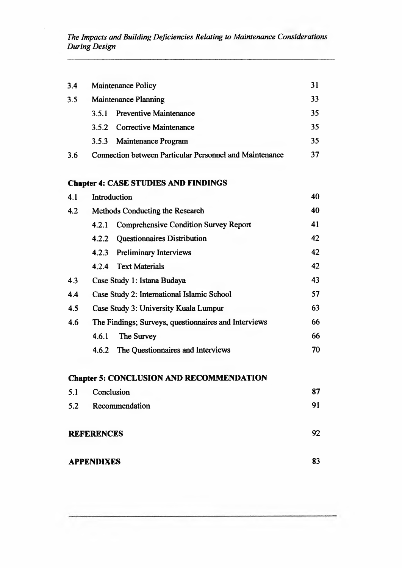*The Impacts and Building Deficiencies Relating to Maintenance Considerations During Design*

| 3.4 |                             | <b>Maintenance Policy</b>                                      |    |
|-----|-----------------------------|----------------------------------------------------------------|----|
| 3.5 | <b>Maintenance Planning</b> |                                                                | 33 |
|     | 3.5.I                       | <b>Preventive Maintenance</b>                                  | 35 |
|     |                             | 3.5.2 Corrective Maintenance                                   | 35 |
|     |                             | 3.5.3 Maintenance Program                                      | 35 |
| 3.6 |                             | <b>Connection between Particular Personnel and Maintenance</b> | 37 |

# **Chapter 4: CASE STUDIES AND FINDINGS**

| 4.1 | Introduction                                          |    |
|-----|-------------------------------------------------------|----|
| 4.2 | Methods Conducting the Research                       | 40 |
|     | <b>Comprehensive Condition Survey Report</b><br>4.2.1 | 41 |
|     | Questionnaires Distribution<br>4.2.2                  | 42 |
|     | <b>Preliminary Interviews</b><br>4.2.3                | 42 |
|     | 4.2.4 Text Materials                                  | 42 |
| 4.3 | Case Study 1: Istana Budaya                           | 43 |
| 4.4 | Case Study 2: International Islamic School            | 57 |
| 4.5 | Case Study 3: University Kuala Lumpur                 | 63 |
| 4.6 | The Findings; Surveys, questionnaires and Interviews  | 66 |
|     | The Survey<br>4.6.1                                   | 66 |
|     | The Questionnaires and Interviews<br>4.6.2            | 70 |

# **Chapter 5: CONCLUSION AND RECOMMENDATION**

| 5.1 | Conclusion        | 87 |
|-----|-------------------|----|
| 5.2 | Recommendation    | 91 |
|     | <b>REFERENCES</b> | 92 |
|     | <b>APPENDIXES</b> | 83 |